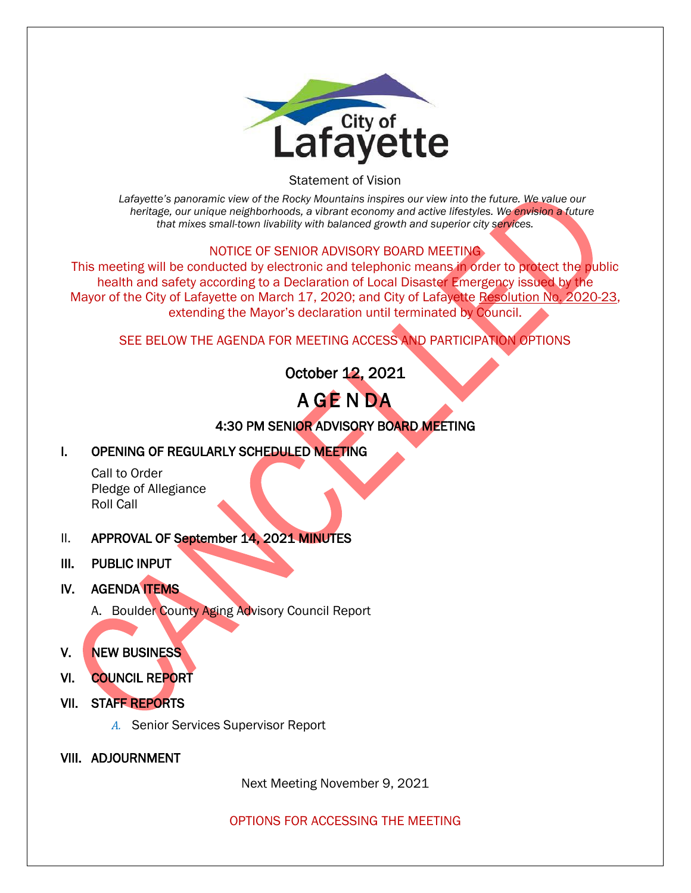

Statement of Vision

*Lafayette's panoramic view of the Rocky Mountains inspires our view into the future. We value our heritage, our unique neighborhoods, a vibrant economy and active lifestyles. We envision a future that mixes small-town livability with balanced growth and superior city services.*

#### NOTICE OF SENIOR ADVISORY BOARD MEETING

This meeting will be conducted by electronic and telephonic means in order to protect the public health and safety according to a Declaration of Local Disaster Emergency issued by the Mayor of the City of Lafayette on March 17, 2020; and City of Lafayette Resolution No. 2020-23, extending the Mayor's declaration until terminated by Council.

SEE BELOW THE AGENDA FOR MEETING ACCESS AND PARTICIPATION OPTIONS

October 12, 2021

# A GE N DA

4:30 PM SENIOR ADVISORY BOARD MEETING

## I. OPENING OF REGULARLY SCHEDULED MEETING

Call to Order Pledge of Allegiance Roll Call

- II. APPROVAL OF September 14, 2021 MINUTES
- III. PUBLIC INPUT
- IV. AGENDA **ITEMS** 
	- A. Boulder County Aging Advisory Council Report

## V. NEW BUSINESS

- VI. COUNCIL REPORT
- VII. STAFF REPORTS
	- *A.* Senior Services Supervisor Report
- VIII. ADJOURNMENT

Next Meeting November 9, 2021

OPTIONS FOR ACCESSING THE MEETING